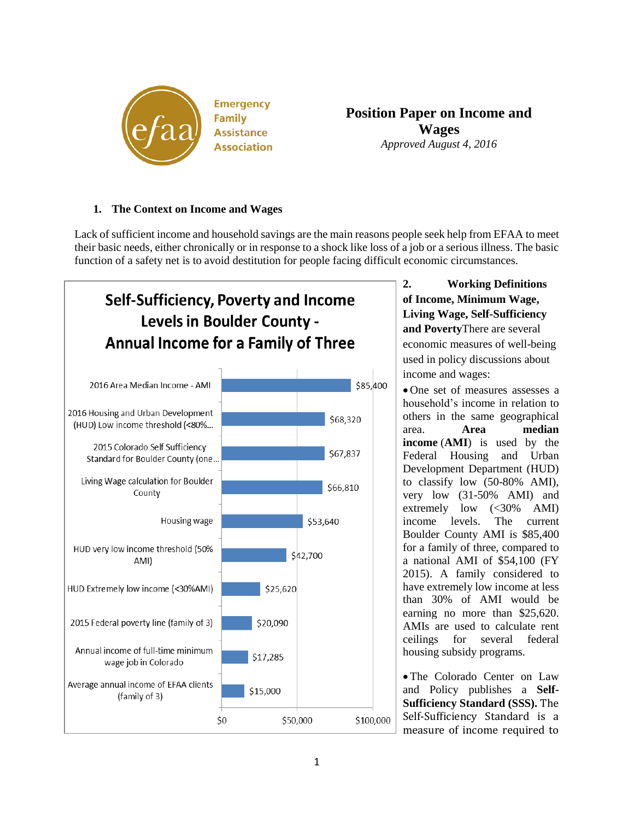

**Emergency Family Assistance Association** 

**Position Paper on Income and Wages** *Approved August 4, 2016*

## **1. The Context on Income and Wages**

Lack of sufficient income and household savings are the main reasons people seek help from EFAA to meet their basic needs, either chronically or in response to a shock like loss of a job or a serious illness. The basic function of a safety net is to avoid destitution for people facing difficult economic circumstances.



**2. Working Definitions of Income, Minimum Wage, Living Wage, Self-Sufficiency and Poverty**There are several economic measures of well-being used in policy discussions about income and wages:

 One set of measures assesses a household's income in relation to others in the same geographical area. **Area median income** (**AMI**) is used by the Federal Housing and Urban Development Department (HUD) to classify low (50-80% AMI), very low (31-50% AMI) and extremely low  $( $30\%$  AMI)$ income levels. The current Boulder County AMI is \$85,400 for a family of three, compared to a national AMI of \$54,100 (FY 2015). A family considered to have extremely low income at less than 30% of AMI would be earning no more than \$25,620. AMIs are used to calculate rent ceilings for several federal housing subsidy programs.

 The Colorado Center on Law and Policy publishes a **Self-Sufficiency Standard (SSS).** The Self-Sufficiency Standard is a measure of income required to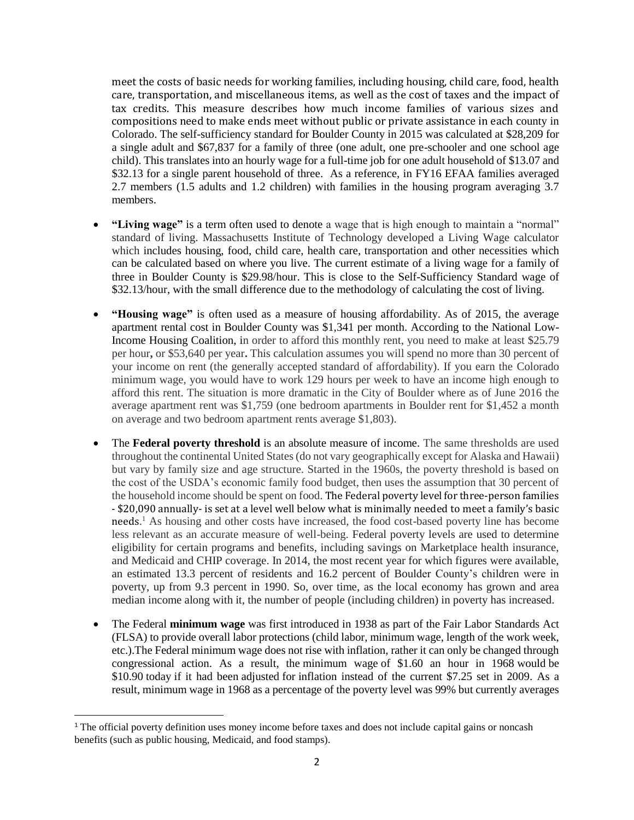meet the costs of basic needs for working families, including housing, child care, food, health care, transportation, and miscellaneous items, as well as the cost of taxes and the impact of tax credits. This measure describes how much income families of various sizes and compositions need to make ends meet without public or private assistance in each county in Colorado. The self-sufficiency standard for Boulder County in 2015 was calculated at \$28,209 for a single adult and \$67,837 for a family of three (one adult, one pre-schooler and one school age child). This translates into an hourly wage for a full-time job for one adult household of \$13.07 and \$32.13 for a single parent household of three. As a reference, in FY16 EFAA families averaged 2.7 members (1.5 adults and 1.2 children) with families in the housing program averaging 3.7 members.

- **"Living wage"** is a term often used to denote a wage that is high enough to maintain a "normal" standard of living. Massachusetts Institute of Technology developed a Living Wage calculator which includes housing, food, child care, health care, transportation and other necessities which can be calculated based on where you live. The current estimate of a living wage for a family of three in Boulder County is \$29.98/hour. This is close to the Self-Sufficiency Standard wage of \$32.13/hour, with the small difference due to the methodology of calculating the cost of living.
- **"Housing wage"** is often used as a measure of housing affordability. As of 2015, the average apartment rental cost in Boulder County was \$1,341 per month. According to the National Low-Income Housing Coalition, in order to afford this monthly rent, you need to make at least \$25.79 per hour**,** or \$53,640 per year**.** This calculation assumes you will spend no more than 30 percent of your income on rent (the generally accepted standard of affordability). If you earn the Colorado minimum wage, you would have to work 129 hours per week to have an income high enough to afford this rent. The situation is more dramatic in the City of Boulder where as of June 2016 the average apartment rent was \$1,759 (one bedroom apartments in Boulder rent for \$1,452 a month on average and two bedroom apartment rents average \$1,803).
- The **Federal poverty threshold** is an absolute measure of income. The same thresholds are used throughout the continental United States (do not vary geographically except for Alaska and Hawaii) but vary by family size and age structure. Started in the 1960s, the poverty threshold is based on the cost of the USDA's economic family food budget, then uses the assumption that 30 percent of the household income should be spent on food. The Federal poverty level for three-person families - \$20,090 annually- is set at a level well below what is minimally needed to meet a family's basic needs. <sup>1</sup> As housing and other costs have increased, the food cost-based poverty line has become less relevant as an accurate measure of well-being. Federal poverty levels are used to determine eligibility for certain programs and benefits, including savings on Marketplace health insurance, and Medicaid and CHIP coverage. In 2014, the most recent year for which figures were available, an estimated 13.3 percent of residents and 16.2 percent of Boulder County's children were in poverty, up from 9.3 percent in 1990. So, over time, as the local economy has grown and area median income along with it, the number of people (including children) in poverty has increased.
- The Federal **minimum wage** was first introduced in 1938 as part of the Fair Labor Standards Act (FLSA) to provide overall labor protections (child labor, minimum wage, length of the work week, etc.).The Federal minimum wage does not rise with inflation, rather it can only be changed through congressional action. As a result, the minimum wage of \$1.60 an hour in 1968 would be \$10.90 today if it had been adjusted for inflation instead of the current \$7.25 set in 2009. As a result, minimum wage in 1968 as a [percentage](http://oregonstate.edu/instruct/anth484/minwage.html) of the poverty level was 99% but currently averages

l

<sup>&</sup>lt;sup>1</sup> The official poverty definition uses money income before taxes and does not include capital gains or noncash benefits (such as public housing, Medicaid, and food stamps).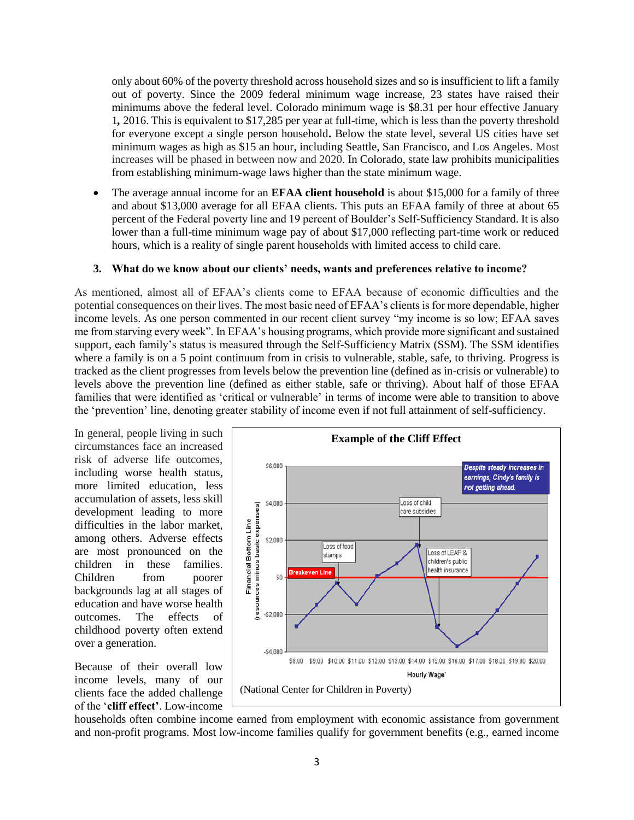only about 60% of the poverty threshold across household sizes and so is [insufficient](http://oregonstate.edu/instruct/anth484/minwage.html) to lift a family out of [poverty.](http://oregonstate.edu/instruct/anth484/minwage.html) Since the 2009 federal minimum wage increase, 23 states have raised their minimums above the federal level. Colorado minimum wage is \$8.31 per hour effective January 1*,* 2016. This is equivalent to \$17,285 per year at full-time, which is less than the poverty threshold for everyone except a single person household**.** Below the state level, several US cities have set minimum wages as high as \$15 an hour, including Seattle, San Francisco, and Los Angeles. Most increases will be phased in between now and 2020. In Colorado, state law prohibits municipalities from establishing minimum-wage laws higher than the state minimum wage.

 The average annual income for an **EFAA client household** is about \$15,000 for a family of three and about \$13,000 average for all EFAA clients. This puts an EFAA family of three at about 65 percent of the Federal poverty line and 19 percent of Boulder's Self-Sufficiency Standard. It is also lower than a full-time minimum wage pay of about \$17,000 reflecting part-time work or reduced hours, which is a reality of single parent households with limited access to child care.

## **3. What do we know about our clients' needs, wants and preferences relative to income?**

As mentioned, almost all of EFAA's clients come to EFAA because of economic difficulties and the potential consequences on their lives. The most basic need of EFAA's clients is for more dependable, higher income levels. As one person commented in our recent client survey "my income is so low; EFAA saves me from starving every week". In EFAA's housing programs, which provide more significant and sustained support, each family's status is measured through the Self-Sufficiency Matrix (SSM). The SSM identifies where a family is on a 5 point continuum from in crisis to vulnerable, stable, safe, to thriving. Progress is tracked as the client progresses from levels below the prevention line (defined as in-crisis or vulnerable) to levels above the prevention line (defined as either stable, safe or thriving). About half of those EFAA families that were identified as 'critical or vulnerable' in terms of income were able to transition to above the 'prevention' line, denoting greater stability of income even if not full attainment of self-sufficiency.

In general, people living in such circumstances face an increased risk of adverse life outcomes, including worse health status, more limited education, less accumulation of assets, less skill development leading to more difficulties in the labor market, among others. Adverse effects are most pronounced on the children in these families. Children from poorer backgrounds lag at all stages of education and have worse health outcomes. The effects of childhood poverty often extend over a generation.

Because of their overall low income levels, many of our clients face the added challenge of the '**cliff effect'**. Low-income



households often combine income earned from employment with economic assistance from government and non-profit programs. Most low-income families qualify for government benefits (e.g., earned income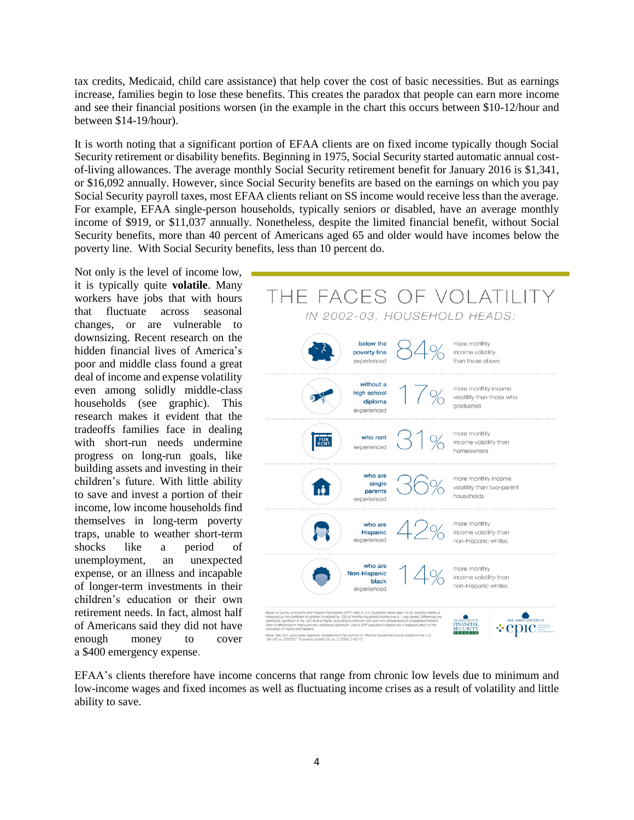tax credits, Medicaid, child care assistance) that help cover the cost of basic necessities. But as earnings increase, families begin to lose these benefits. This creates the paradox that people can earn more income and see their financial positions worsen (in the example in the chart this occurs between \$10-12/hour and between \$14-19/hour).

It is worth noting that a significant portion of EFAA clients are on fixed income typically though Social Security retirement or disability benefits. Beginning in 1975, Social Security started automatic annual costof-living allowances. The average monthly Social Security retirement benefit for January 2016 is \$1,341, or \$16,092 annually. However, since Social Security benefits are based on the earnings on which you pay Social Security payroll taxes, most EFAA clients reliant on SS income would receive less than the average. For example, EFAA single-person households, typically seniors or disabled, have an average monthly income of \$919, or \$11,037 annually. Nonetheless, despite the limited financial benefit, without Social Security benefits, more than 40 percent of Americans aged 65 and older would have incomes below the poverty line. With Social Security benefits, less than 10 percent do.

Not only is the level of income low, it is typically quite **volatile**. Many workers have jobs that with hours that fluctuate across seasonal changes, or are vulnerable to downsizing. Recent research on the hidden financial lives of America's poor and middle class found a great deal of income and expense volatility even among solidly middle-class households (see graphic). This research makes it evident that the tradeoffs families face in dealing with short-run needs undermine progress on long-run goals, like building assets and investing in their children's future. With little ability to save and invest a portion of their income, low income households find themselves in long-term poverty traps, unable to weather short-term shocks like a period of unemployment, an unexpected expense, or an illness and incapable of longer-term investments in their children's education or their own retirement needs. In fact, almost half of Americans said they did not have enough money to cover a \$400 emergency expense.



EFAA's clients therefore have income concerns that range from chronic low levels due to minimum and low-income wages and fixed incomes as well as fluctuating income crises as a result of volatility and little ability to save.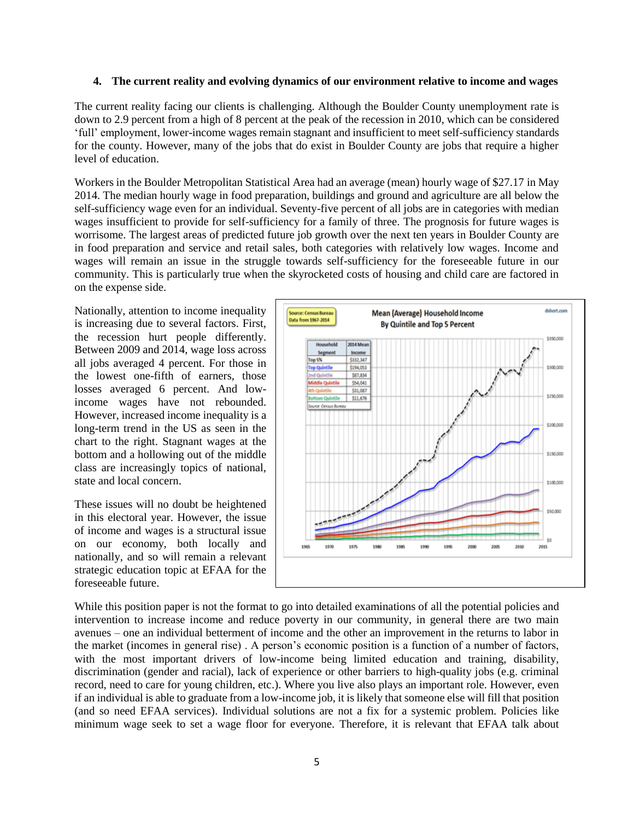## **4. The current reality and evolving dynamics of our environment relative to income and wages**

The current reality facing our clients is challenging. Although the Boulder County unemployment rate is down to 2.9 percent from a high of 8 percent at the peak of the recession in 2010, which can be considered 'full' employment, lower-income wages remain stagnant and insufficient to meet self-sufficiency standards for the county. However, many of the jobs that do exist in Boulder County are jobs that require a higher level of education.

Workers in the Boulder Metropolitan Statistical Area had an average (mean) hourly wage of \$27.17 in May 2014. The median hourly wage in food preparation, buildings and ground and agriculture are all below the self-sufficiency wage even for an individual. Seventy-five percent of all jobs are in categories with median wages insufficient to provide for self-sufficiency for a family of three. The prognosis for future wages is worrisome. The largest areas of predicted future job growth over the next ten years in Boulder County are in food preparation and service and retail sales, both categories with relatively low wages. Income and wages will remain an issue in the struggle towards self-sufficiency for the foreseeable future in our community. This is particularly true when the skyrocketed costs of housing and child care are factored in on the expense side.

Nationally, attention to income inequality is increasing due to several factors. First, the recession hurt people differently. Between 2009 and 2014, wage loss across all jobs averaged 4 percent. For those in the lowest one-fifth of earners, those losses averaged 6 percent. And lowincome wages have not rebounded. However, increased income inequality is a long-term trend in the US as seen in the chart to the right. Stagnant wages at the bottom and a hollowing out of the middle class are increasingly topics of national, state and local concern.

These issues will no doubt be heightened in this electoral year. However, the issue of income and wages is a structural issue on our economy, both locally and nationally, and so will remain a relevant strategic education topic at EFAA for the foreseeable future.



While this position paper is not the format to go into detailed examinations of all the potential policies and intervention to increase income and reduce poverty in our community, in general there are two main avenues – one an individual betterment of income and the other an improvement in the returns to labor in the market (incomes in general rise) . A person's economic position is a function of a number of factors, with the most important drivers of low-income being limited education and training, disability, discrimination (gender and racial), lack of experience or other barriers to high-quality jobs (e.g. criminal record, need to care for young children, etc.). Where you live also plays an important role. However, even if an individual is able to graduate from a low-income job, it is likely that someone else will fill that position (and so need EFAA services). Individual solutions are not a fix for a systemic problem. Policies like minimum wage seek to set a wage floor for everyone. Therefore, it is relevant that EFAA talk about